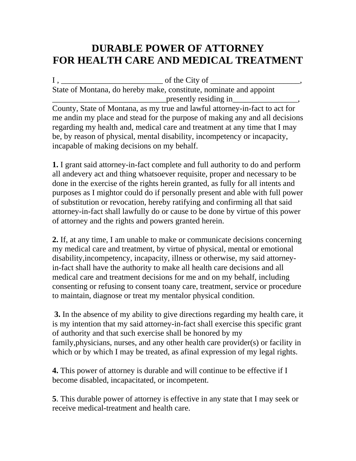## **DURABLE POWER OF ATTORNEY FOR HEALTH CARE AND MEDICAL TREATMENT**

 $I, \_\_\_\_\_$  of the City of  $\_\_\_\_\_\$ State of Montana, do hereby make, constitute, nominate and appoint presently residing in

County, State of Montana, as my true and lawful attorney-in-fact to act for me andin my place and stead for the purpose of making any and all decisions regarding my health and, medical care and treatment at any time that I may be, by reason of physical, mental disability, incompetency or incapacity, incapable of making decisions on my behalf.

**1.** I grant said attorney-in-fact complete and full authority to do and perform all andevery act and thing whatsoever requisite, proper and necessary to be done in the exercise of the rights herein granted, as fully for all intents and purposes as I mightor could do if personally present and able with full power of substitution or revocation, hereby ratifying and confirming all that said attorney-in-fact shall lawfully do or cause to be done by virtue of this power of attorney and the rights and powers granted herein.

**2.** If, at any time, I am unable to make or communicate decisions concerning my medical care and treatment, by virtue of physical, mental or emotional disability,incompetency, incapacity, illness or otherwise, my said attorneyin-fact shall have the authority to make all health care decisions and all medical care and treatment decisions for me and on my behalf, including consenting or refusing to consent toany care, treatment, service or procedure to maintain, diagnose or treat my mentalor physical condition.

 **3.** In the absence of my ability to give directions regarding my health care, it is my intention that my said attorney-in-fact shall exercise this specific grant of authority and that such exercise shall be honored by my family,physicians, nurses, and any other health care provider(s) or facility in which or by which I may be treated, as a final expression of my legal rights.

**4.** This power of attorney is durable and will continue to be effective if I become disabled, incapacitated, or incompetent.

**5**. This durable power of attorney is effective in any state that I may seek or receive medical-treatment and health care.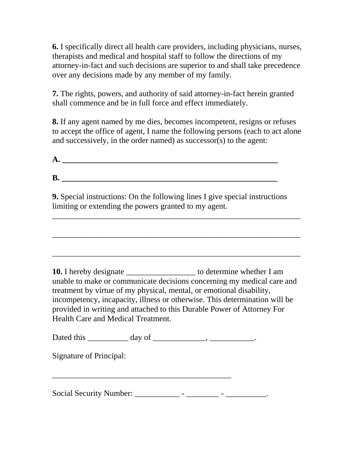**6.** I specifically direct all health care providers, including physicians, nurses, therapists and medical and hospital staff to follow the directions of my attorney-in-fact and such decisions are superior to and shall take precedence over any decisions made by any member of my family.

**7.** The rights, powers, and authority of said attorney-in-fact herein granted shall commence and be in full force and effect immediately.

**8.** If any agent named by me dies, becomes incompetent, resigns or refuses to accept the office of agent, I name the following persons (each to act alone and successively, in the order named) as successor(s) to the agent:

| Α. |  |  |
|----|--|--|
|    |  |  |
| B. |  |  |
|    |  |  |

**9.** Special instructions: On the following lines I give special instructions limiting or extending the powers granted to my agent.

\_\_\_\_\_\_\_\_\_\_\_\_\_\_\_\_\_\_\_\_\_\_\_\_\_\_\_\_\_\_\_\_\_\_\_\_\_\_\_\_\_\_\_\_\_\_\_\_\_\_\_\_\_\_\_\_\_\_\_\_\_

\_\_\_\_\_\_\_\_\_\_\_\_\_\_\_\_\_\_\_\_\_\_\_\_\_\_\_\_\_\_\_\_\_\_\_\_\_\_\_\_\_\_\_\_\_\_\_\_\_\_\_\_\_\_\_\_\_\_\_\_\_

\_\_\_\_\_\_\_\_\_\_\_\_\_\_\_\_\_\_\_\_\_\_\_\_\_\_\_\_\_\_\_\_\_\_\_\_\_\_\_\_\_\_\_\_\_\_\_\_\_\_\_\_\_\_\_\_\_\_\_\_\_

10. I hereby designate \_\_\_\_\_\_\_\_\_\_\_\_\_\_\_\_\_\_\_\_\_ to determine whether I am unable to make or communicate decisions concerning my medical care and treatment by virtue of my physical, mental, or emotional disability, incompetency, incapacity, illness or otherwise. This determination will be provided in writing and attached to this Durable Power of Attorney For Health Care and Medical Treatment.

Dated this  $\_\_\_\_\_\_\_\$  day of  $\_\_\_\_\_\_\_\_\_\_\_\_\_\_\_\_\_\_\_$ 

\_\_\_\_\_\_\_\_\_\_\_\_\_\_\_\_\_\_\_\_\_\_\_\_\_\_\_\_\_\_\_\_\_\_\_\_\_\_\_\_\_\_\_\_

Signature of Principal:

Social Security Number: \_\_\_\_\_\_\_\_\_\_\_ - \_\_\_\_\_\_\_\_ - \_\_\_\_\_\_\_\_\_\_.